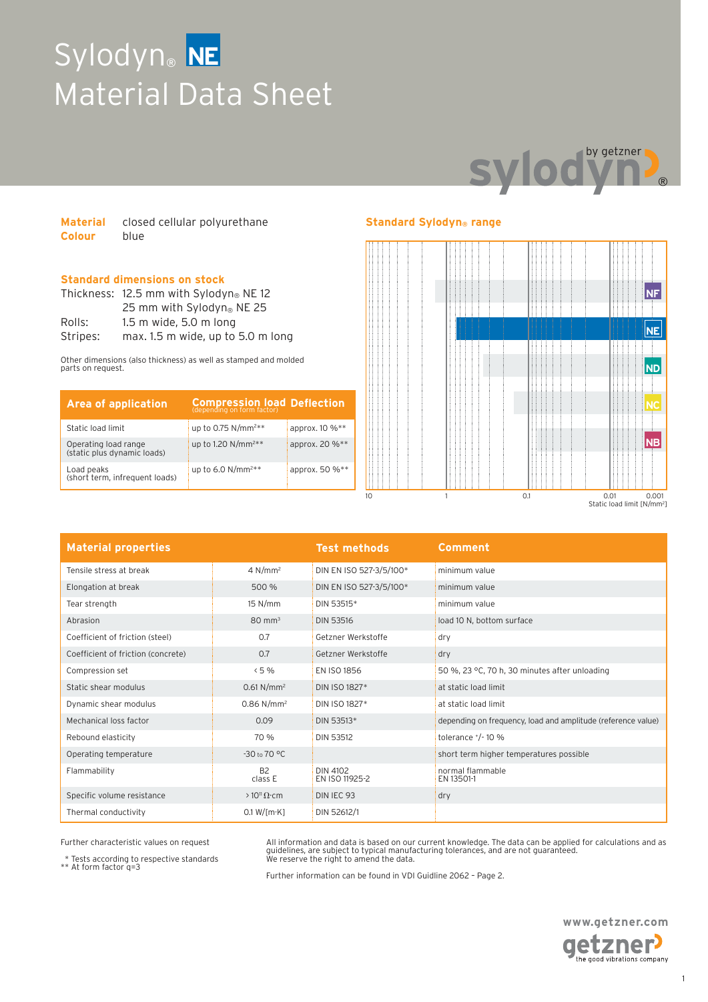# Sylodyn® **NE** Material Data Sheet



| <b>Material</b> | closed cellular polyurethane |  |
|-----------------|------------------------------|--|
| <b>Colour</b>   | blue                         |  |

### **Standard dimensions on stock**

|          | Thickness: $12.5$ mm with Sylodyn® NE 12 |  |  |
|----------|------------------------------------------|--|--|
|          | 25 mm with Sylodyn <sup>®</sup> NE 25    |  |  |
| Rolls:   | $1.5$ m wide, $5.0$ m long               |  |  |
| Stripes: | max. 1.5 m wide, up to 5.0 m long        |  |  |

Other dimensions (also thickness) as well as stamped and molded parts on request.

| <b>Area of application</b>                          | <b>Compression load Deflection</b> |                |
|-----------------------------------------------------|------------------------------------|----------------|
| Static load limit                                   | up to 0.75 $N/mm^{2**}$            | approx. 10 %** |
| Operating load range<br>(static plus dynamic loads) | up to 1.20 N/mm <sup>2**</sup>     | approx. 20 %** |
| Load peaks<br>(short term, infrequent loads)        | up to 6.0 $N/mm^{2**}$             | approx. 50 %** |

### **Standard Sylodyn® range**



| <b>Material properties</b>         |                          | <b>Test methods</b>        | Comment                                                      |
|------------------------------------|--------------------------|----------------------------|--------------------------------------------------------------|
| Tensile stress at break            | 4 N/mm <sup>2</sup>      | DIN EN ISO 527-3/5/100*    | minimum value                                                |
| Elongation at break                | 500 %                    | DIN EN ISO 527-3/5/100*    | minimum value                                                |
| Tear strength                      | 15 N/mm                  | DIN 53515*                 | minimum value                                                |
| Abrasion                           | $80 \text{ mm}^3$        | <b>DIN 53516</b>           | load 10 N, bottom surface                                    |
| Coefficient of friction (steel)    | 0.7                      | Getzner Werkstoffe         | dry                                                          |
| Coefficient of friction (concrete) | 0.7                      | Getzner Werkstoffe         | dry                                                          |
| Compression set                    | < 5%                     | EN ISO 1856                | 50 %, 23 °C, 70 h, 30 minutes after unloading                |
| Static shear modulus               | $0.61$ N/mm <sup>2</sup> | DIN ISO 1827*              | at static load limit                                         |
| Dynamic shear modulus              | $0.86$ N/mm <sup>2</sup> | DIN ISO 1827*              | at static load limit                                         |
| Mechanical loss factor             | 0.09                     | DIN 53513*                 | depending on frequency, load and amplitude (reference value) |
| Rebound elasticity                 | 70 %                     | <b>DIN 53512</b>           | tolerance $^{+}/^{-}$ 10 %                                   |
| Operating temperature              | -30 to 70 °C             |                            | short term higher temperatures possible                      |
| Flammability                       | <b>B2</b><br>class E     | DIN 4102<br>EN ISO 11925-2 | normal flammable<br>EN 13501-1                               |
| Specific volume resistance         | $>10^{11} \Omega$ cm     | DIN IEC 93                 | dry                                                          |
| Thermal conductivity               | 0.1 W / [m·K]            | DIN 52612/1                |                                                              |

Further characteristic values on request

\* Tests according to respective standards \*\* At form factor q=3

All information and data is based on our current knowledge. The data can be applied for calculations and as guidelines, are subject to typical manufacturing tolerances, and are not guaranteed. We reserve the right to amend the data.

Further information can be found in VDI Guidline 2062 – Page 2.

**www.getzner.com**  getzner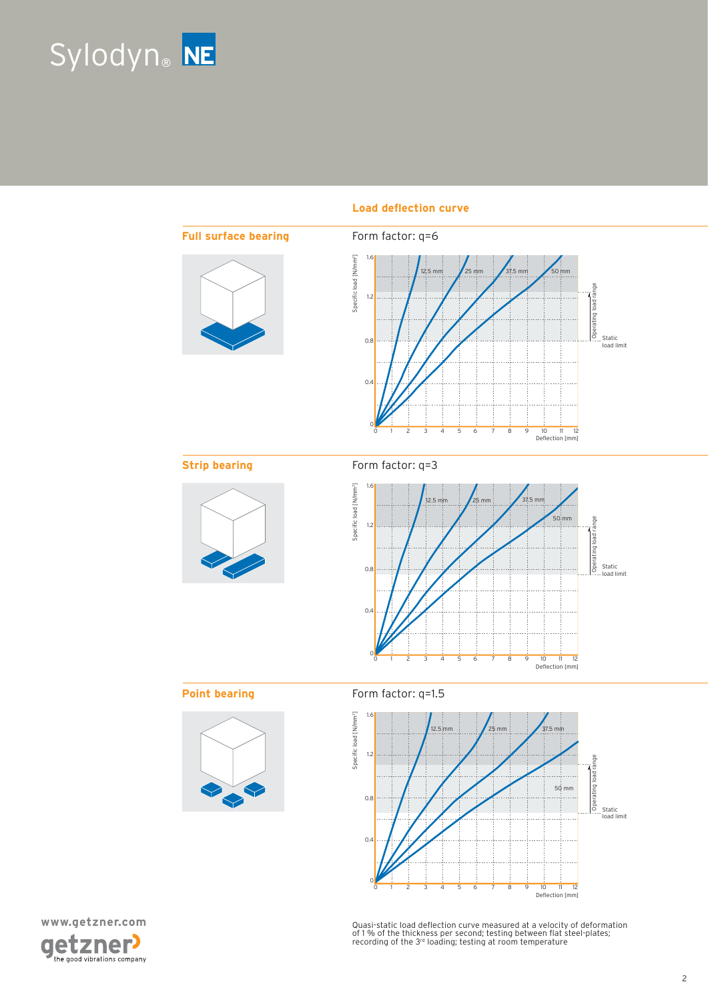



### Load deflection curve





Quasi-static load deflection curve measured at a velocity of deformation<br>of 1 % of the thickness per second; testing between flat steel-plates;<br>recording of the 3rª loading; testing at room temperature

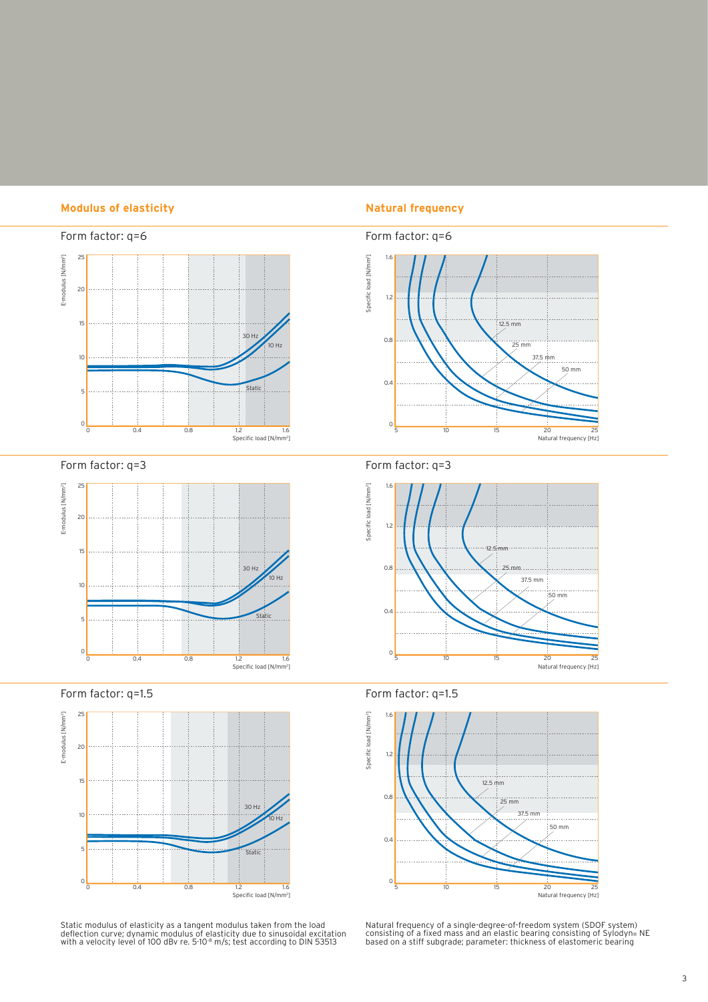### **Modulus of elasticity Natural frequency**



Form factor: q=3



Form factor: q=1.5



Static modulus of elasticity as a tangent modulus taken from the load<br>deflection curve; dynamic modulus of elasticity due to sinusoidal excitation<br>with a velocity level of 100 dBv re. 5·10<sup>.8</sup> m/s; test according to DIN 53







Form factor: q=1.5



Natural frequency of a single-degree-of-freedom system (SDOF system)<br>consisting of a fixed mass and an elastic bearing consisting of Sylodyn® NE<br>based on a stiff subgrade; parameter: thickness of elastomeric bearing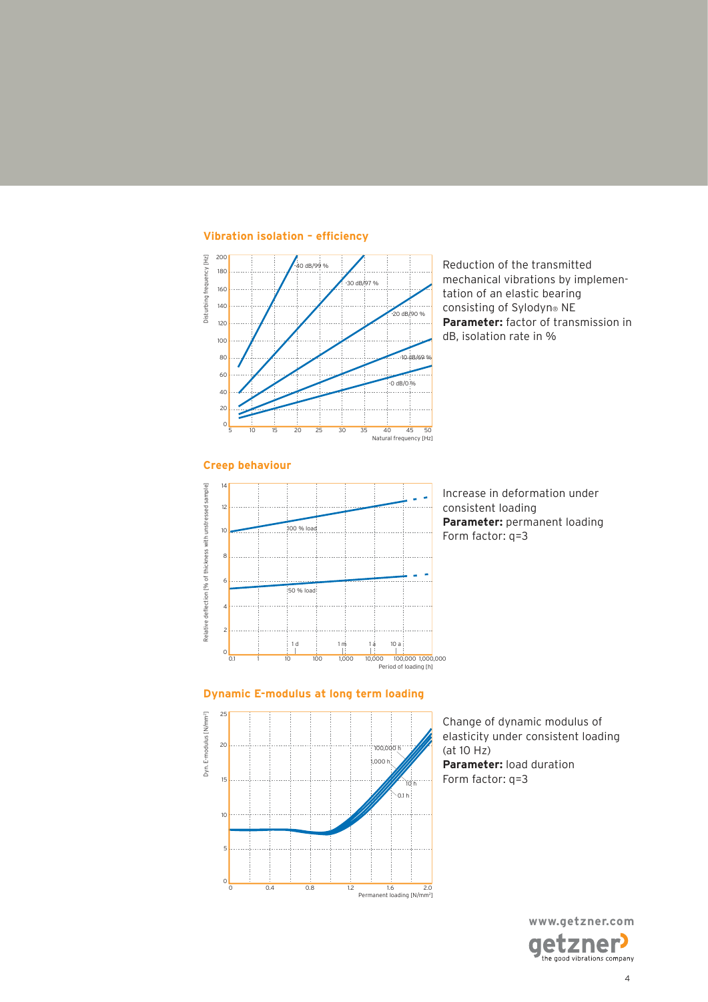

Reduction of the transmitted mechanical vibrations by implementation of an elastic bearing consisting of Sylodyn® NE **Parameter:** factor of transmission in dB, isolation rate in %



Increase in deformation under consistent loading **Parameter:** permanent loading Form factor: q=3

### **Dynamic E-modulus at long term loading**



Change of dynamic modulus of elasticity under consistent loading (at 10 Hz) **Parameter:** load duration Form factor: q=3

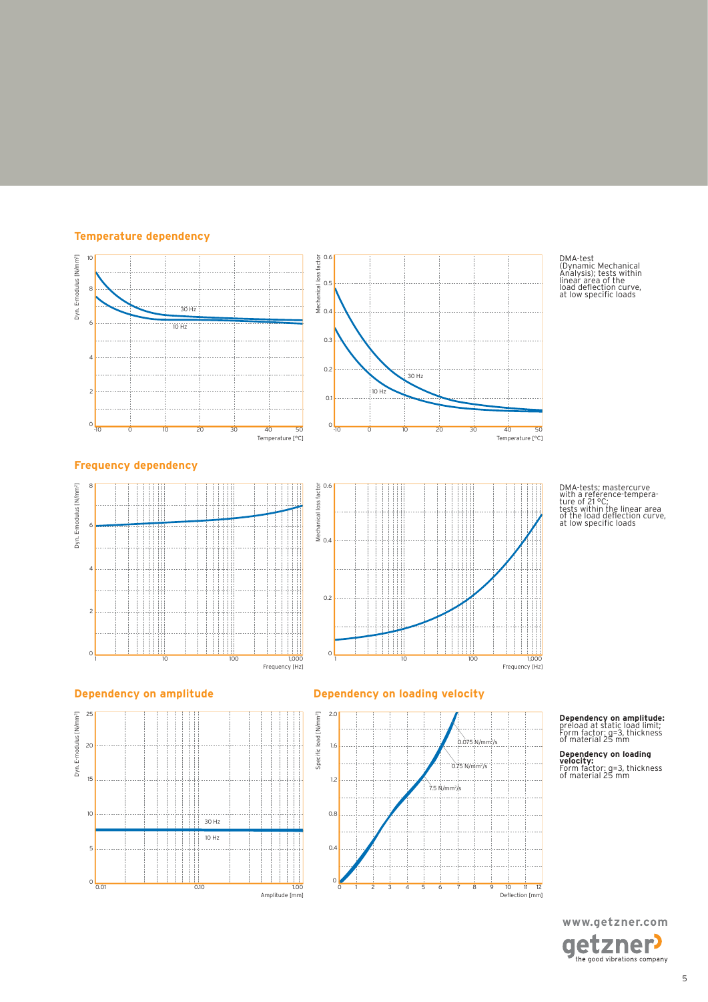### **Temperature dependency**





DMA-test (Dynamic Mechanical Analysis); tests within linear area of the load delection curve, at low speciic loads

DMA-tests; mastercurve with a reference-tempera-ture of 21 °C; tests within the linear area of the load delection curve, at low speciic loads

### **Frequency dependency**







### **Dependency on amplitude Dependency on loading velocity**



## **Dependency on amplitude:** preload at static load limit; Form factor: q=3, thickness of material 25 mm

**Dependency on loading velocity:** Form factor: q=3, thickness of material 25 mm

**www.getzner.com**  getzner<sup>,</sup>